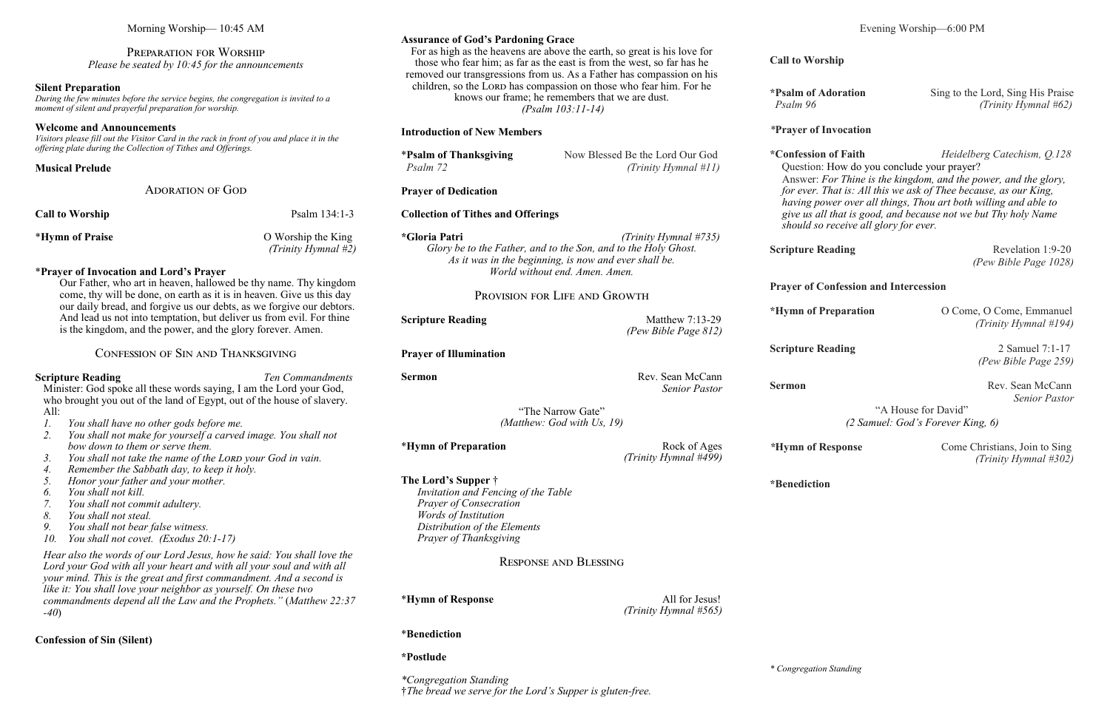| <b>Adoration</b> | Sing to the Lord, Sing His Praise |
|------------------|-----------------------------------|
|                  | (Trinity Hymnal #62)              |

# *\****Prayer of Invocation**

**Scripture Reading** Revelation 1:9-20 *(Pew Bible Page 1028)*

**\*Confession of Faith** *Heidelberg Catechism, Q.128* Question: How do you conclude your prayer? Answer: *For Thine is the kingdom, and the power, and the glory, for ever. That is: All this we ask of Thee because, as our King, having power over all things, Thou art both willing and able to give us all that is good, and because not we but Thy holy Name should so receive all glory for ever.*

**Scripture Reading** 2 Samuel 7:1-17 *(Pew Bible Page 259)*

**Sermon** Rev. Sean McCann *Senior Pastor*

# **Prayer of Confession and Intercession**

| <b>Preparation</b> | O Come, O Come, Emmanuel |
|--------------------|--------------------------|
|                    | (Trinity Hymnal #194)    |

"A House for David" *(2 Samuel: God's Forever King, 6)*

*\****Hymn of Response** Come Christians, Join to Sing *(Trinity Hymnal #302)*

**\*Benediction**

Morning Worship— 10:45 AM

Minister: God spoke all these words saying, I am the Lord your God, who brought you out of the land of Egypt, out of the house of slavery.  $All:$ 

Preparation for Worship *Please be seated by 10:45 for the announcements*

#### **Silent Preparation**

*During the few minutes before the service begins, the congregation is invited to a moment of silent and prayerful preparation for worship.*

#### **Welcome and Announcements**

*Visitors please fill out the Visitor Card in the rack in front of you and place it in the offering plate during the Collection of Tithes and Offerings.*

|                        | <b>ADORATION OF GOD</b> |                                              |
|------------------------|-------------------------|----------------------------------------------|
| <b>Call to Worship</b> |                         | Psalm $134:1-3$                              |
| *Hymn of Praise        |                         | O Worship the King<br>(Trinity Hymnal $#2$ ) |

#### \***Prayer of Invocation and Lord's Prayer**

Our Father, who art in heaven, hallowed be thy name. Thy kingdom come, thy will be done, on earth as it is in heaven. Give us this day our daily bread, and forgive us our debts, as we forgive our debtors. And lead us not into temptation, but deliver us from evil. For thine is the kingdom, and the power, and the glory forever. Amen.

**Scripture Reading** Matthew 7:13-29 *(Pew Bible Page 812)*

**Sermon** Rev. Sean McCann *Senior Pastor*

## Confession of Sin and Thanksgiving

#### **Scripture Reading** *Ten Commandments*

\***Hymn of Preparation** Rock of Ages *(Trinity Hymnal #499)*

- *1. You shall have no other gods before me.*
- *2. You shall not make for yourself a carved image. You shall not bow down to them or serve them.*
- 3. *You shall not take the name of the LORD your God in vain.*
- *4. Remember the Sabbath day, to keep it holy.*
- *5. Honor your father and your mother.*
- *6. You shall not kill.*
- *7. You shall not commit adultery.*
- *8. You shall not steal.*
- *9. You shall not bear false witness.*
- *10. You shall not covet. (Exodus 20:1-17)*

*Hear also the words of our Lord Jesus, how he said: You shall love the Lord your God with all your heart and with all your soul and with all your mind. This is the great and first commandment. And a second is like it: You shall love your neighbor as yourself. On these two commandments depend all the Law and the Prophets."* (*Matthew 22:37 -40*)

## **Confession of Sin (Silent)**

#### **Assurance of God's Pardoning Grace**

For as high as the heavens are above the earth, so great is his love for those who fear him; as far as the east is from the west, so far has he removed our transgressions from us. As a Father has compassion on his children, so the LORD has compassion on those who fear him. For he knows our frame; he remembers that we are dust. *(Psalm 103:11-14)*

#### **Introduction of New Members**

| <b>*Psalm of Thanksgiving</b> | Now Blessed Be the Lord Our God |
|-------------------------------|---------------------------------|
| Psalm 72                      | (Trinity Hymnal #11)            |

## **Prayer of Dedication**

#### **Collection of Tithes and Offerings**

**\*Gloria Patri** *(Trinity Hymnal #735) Glory be to the Father, and to the Son, and to the Holy Ghost. As it was in the beginning, is now and ever shall be. World without end. Amen. Amen.*

## Provision for Life and Growth

**Prayer of Illumination**

"The Narrow Gate" *(Matthew: God with Us, 19)*

**The Lord's Supper** †

*Invitation and Fencing of the Table*

*Prayer of Consecration Words of Institution*

*Distribution of the Elements Prayer of Thanksgiving*

Response and Blessing

\***Hymn of Response** All for Jesus!

*(Trinity Hymnal #565)*

# \***Benediction**

## **\*Postlude**

*\*Congregation Standing* †*The bread we serve for the Lord's Supper is gluten-free.*

**Call to Wo** 

\*Psalm of *Psalm 96* 

**\*Hymn** of